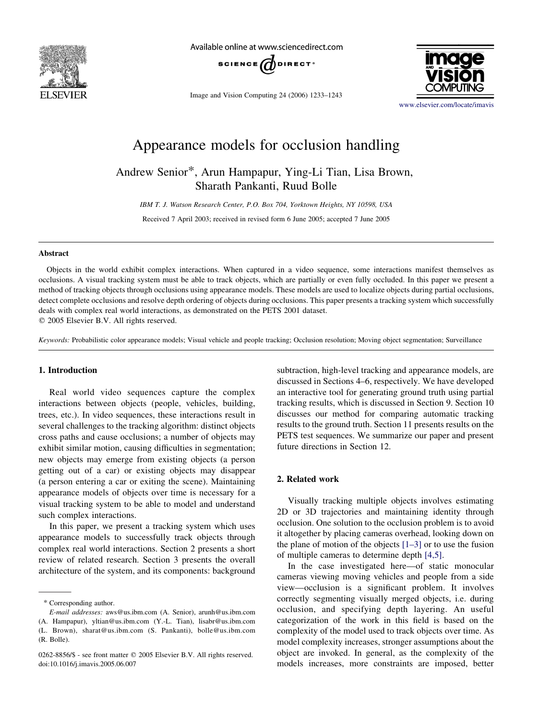

Available online at www.sciencedirect.com



Image and Vision Computing 24 (2006) 1233–1243



[www.elsevier.com/locate/imavis](http://www.elsevier.com/locate/imavis)

# Appearance models for occlusion handling

# Andrew Senior\*, Arun Hampapur, Ying-Li Tian, Lisa Brown, Sharath Pankanti, Ruud Bolle

IBM T. J. Watson Research Center, P.O. Box 704, Yorktown Heights, NY 10598, USA Received 7 April 2003; received in revised form 6 June 2005; accepted 7 June 2005

# Abstract

Objects in the world exhibit complex interactions. When captured in a video sequence, some interactions manifest themselves as occlusions. A visual tracking system must be able to track objects, which are partially or even fully occluded. In this paper we present a method of tracking objects through occlusions using appearance models. These models are used to localize objects during partial occlusions, detect complete occlusions and resolve depth ordering of objects during occlusions. This paper presents a tracking system which successfully deals with complex real world interactions, as demonstrated on the PETS 2001 dataset.  $©$  2005 Elsevier B.V. All rights reserved.

Keywords: Probabilistic color appearance models; Visual vehicle and people tracking; Occlusion resolution; Moving object segmentation; Surveillance

# 1. Introduction

Real world video sequences capture the complex interactions between objects (people, vehicles, building, trees, etc.). In video sequences, these interactions result in several challenges to the tracking algorithm: distinct objects cross paths and cause occlusions; a number of objects may exhibit similar motion, causing difficulties in segmentation; new objects may emerge from existing objects (a person getting out of a car) or existing objects may disappear (a person entering a car or exiting the scene). Maintaining appearance models of objects over time is necessary for a visual tracking system to be able to model and understand such complex interactions.

In this paper, we present a tracking system which uses appearance models to successfully track objects through complex real world interactions. Section 2 presents a short review of related research. Section 3 presents the overall architecture of the system, and its components: background subtraction, high-level tracking and appearance models, are discussed in Sections 4–6, respectively. We have developed an interactive tool for generating ground truth using partial tracking results, which is discussed in Section 9. Section 10 discusses our method for comparing automatic tracking results to the ground truth. Section 11 presents results on the PETS test sequences. We summarize our paper and present future directions in Section 12.

# 2. Related work

Visually tracking multiple objects involves estimating 2D or 3D trajectories and maintaining identity through occlusion. One solution to the occlusion problem is to avoid it altogether by placing cameras overhead, looking down on the plane of motion of the objects  $[1-3]$  or to use the fusion of multiple cameras to determine depth [\[4,5\]](#page-9-0).

In the case investigated here—of static monocular cameras viewing moving vehicles and people from a side view—occlusion is a significant problem. It involves correctly segmenting visually merged objects, i.e. during occlusion, and specifying depth layering. An useful categorization of the work in this field is based on the complexity of the model used to track objects over time. As model complexity increases, stronger assumptions about the object are invoked. In general, as the complexity of the models increases, more constraints are imposed, better

<sup>\*</sup> Corresponding author.

E-mail addresses: aws@us.ibm.com (A. Senior), arunh@us.ibm.com (A. Hampapur), yltian@us.ibm.com (Y.-L. Tian), lisabr@us.ibm.com (L. Brown), sharat@us.ibm.com (S. Pankanti), bolle@us.ibm.com (R. Bolle).

<sup>0262-8856/\$ -</sup> see front matter © 2005 Elsevier B.V. All rights reserved. doi:10.1016/j.imavis.2005.06.007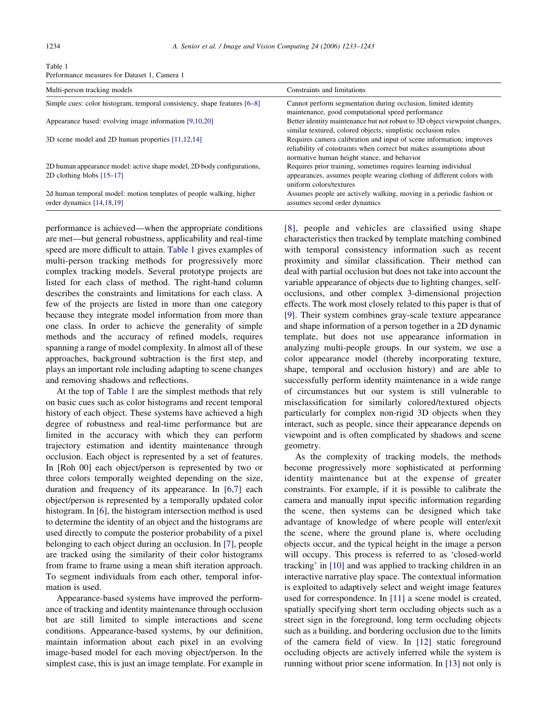| Performance measures for Dataset 1, Camera 1                             |                                                                                                                                             |  |  |
|--------------------------------------------------------------------------|---------------------------------------------------------------------------------------------------------------------------------------------|--|--|
| Multi-person tracking models                                             | Constraints and limitations                                                                                                                 |  |  |
| Simple cues: color histogram, temporal consistency, shape features [6–8] | Cannot perform segmentation during occlusion, limited identity<br>maintenance, good computational speed performance                         |  |  |
| Appearance based: evolving image information [9,10,20]                   | Better identity maintenance but not robust to 3D object viewpoint changes.<br>similar textured, colored objects; simplistic occlusion rules |  |  |
| 3D scene model and 2D human properties [11,12,14]                        | Requires camera calibration and input of scene information; improves<br>reliability of constraints when correct but makes assumptions about |  |  |

Table 1

2D human appearance model: active shape model, 2D body configurations, 2D clothing blobs [\[15–17\]](#page-10-0)

2d human temporal model: motion templates of people walking, higher order dynamics [\[14,18,19\]](#page-10-0)

performance is achieved—when the appropriate conditions are met—but general robustness, applicability and real-time speed are more difficult to attain. Table 1 gives examples of multi-person tracking methods for progressively more complex tracking models. Several prototype projects are listed for each class of method. The right-hand column describes the constraints and limitations for each class. A few of the projects are listed in more than one category because they integrate model information from more than one class. In order to achieve the generality of simple methods and the accuracy of refined models, requires spanning a range of model complexity. In almost all of these approaches, background subtraction is the first step, and plays an important role including adapting to scene changes and removing shadows and reflections.

At the top of Table 1 are the simplest methods that rely on basic cues such as color histograms and recent temporal history of each object. These systems have achieved a high degree of robustness and real-time performance but are limited in the accuracy with which they can perform trajectory estimation and identity maintenance through occlusion. Each object is represented by a set of features. In [Roh 00] each object/person is represented by two or three colors temporally weighted depending on the size, duration and frequency of its appearance. In [\[6,7\]](#page-9-0) each object/person is represented by a temporally updated color histogram. In [\[6\]](#page-9-0), the histogram intersection method is used to determine the identity of an object and the histograms are used directly to compute the posterior probability of a pixel belonging to each object during an occlusion. In [\[7\]](#page-9-0), people are tracked using the similarity of their color histograms from frame to frame using a mean shift iteration approach. To segment individuals from each other, temporal information is used.

Appearance-based systems have improved the performance of tracking and identity maintenance through occlusion but are still limited to simple interactions and scene conditions. Appearance-based systems, by our definition, maintain information about each pixel in an evolving image-based model for each moving object/person. In the simplest case, this is just an image template. For example in [\[8\]](#page-9-0), people and vehicles are classified using shape characteristics then tracked by template matching combined with temporal consistency information such as recent proximity and similar classification. Their method can deal with partial occlusion but does not take into account the variable appearance of objects due to lighting changes, selfocclusions, and other complex 3-dimensional projection effects. The work most closely related to this paper is that of [\[9\]](#page-9-0). Their system combines gray-scale texture appearance and shape information of a person together in a 2D dynamic template, but does not use appearance information in analyzing multi-people groups. In our system, we use a color appearance model (thereby incorporating texture, shape, temporal and occlusion history) and are able to successfully perform identity maintenance in a wide range of circumstances but our system is still vulnerable to misclassification for similarly colored/textured objects particularly for complex non-rigid 3D objects when they interact, such as people, since their appearance depends on viewpoint and is often complicated by shadows and scene geometry.

normative human height stance, and behavior

uniform colors/textures

assumes second order dynamics

Requires prior training, sometimes requires learning individual appearances, assumes people wearing clothing of different colors with

Assumes people are actively walking, moving in a periodic fashion or

As the complexity of tracking models, the methods become progressively more sophisticated at performing identity maintenance but at the expense of greater constraints. For example, if it is possible to calibrate the camera and manually input specific information regarding the scene, then systems can be designed which take advantage of knowledge of where people will enter/exit the scene, where the ground plane is, where occluding objects occur, and the typical height in the image a person will occupy. This process is referred to as 'closed-world tracking' in [\[10\]](#page-9-0) and was applied to tracking children in an interactive narrative play space. The contextual information is exploited to adaptively select and weight image features used for correspondence. In [\[11\]](#page-9-0) a scene model is created, spatially specifying short term occluding objects such as a street sign in the foreground, long term occluding objects such as a building, and bordering occlusion due to the limits of the camera field of view. In [\[12\]](#page-9-0) static foreground occluding objects are actively inferred while the system is running without prior scene information. In [\[13\]](#page-10-0) not only is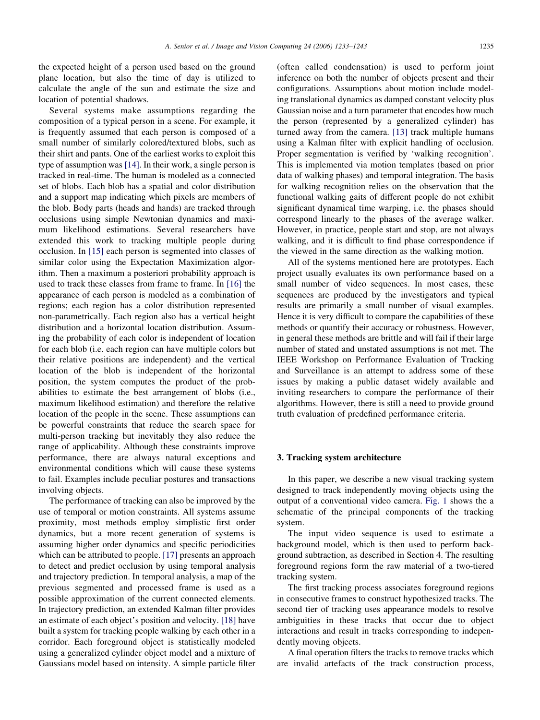the expected height of a person used based on the ground plane location, but also the time of day is utilized to calculate the angle of the sun and estimate the size and location of potential shadows.

Several systems make assumptions regarding the composition of a typical person in a scene. For example, it is frequently assumed that each person is composed of a small number of similarly colored/textured blobs, such as their shirt and pants. One of the earliest works to exploit this type of assumption was [\[14\].](#page-10-0) In their work, a single person is tracked in real-time. The human is modeled as a connected set of blobs. Each blob has a spatial and color distribution and a support map indicating which pixels are members of the blob. Body parts (heads and hands) are tracked through occlusions using simple Newtonian dynamics and maximum likelihood estimations. Several researchers have extended this work to tracking multiple people during occlusion. In [\[15\]](#page-10-0) each person is segmented into classes of similar color using the Expectation Maximization algorithm. Then a maximum a posteriori probability approach is used to track these classes from frame to frame. In [\[16\]](#page-10-0) the appearance of each person is modeled as a combination of regions; each region has a color distribution represented non-parametrically. Each region also has a vertical height distribution and a horizontal location distribution. Assuming the probability of each color is independent of location for each blob (i.e. each region can have multiple colors but their relative positions are independent) and the vertical location of the blob is independent of the horizontal position, the system computes the product of the probabilities to estimate the best arrangement of blobs (i.e., maximum likelihood estimation) and therefore the relative location of the people in the scene. These assumptions can be powerful constraints that reduce the search space for multi-person tracking but inevitably they also reduce the range of applicability. Although these constraints improve performance, there are always natural exceptions and environmental conditions which will cause these systems to fail. Examples include peculiar postures and transactions involving objects.

The performance of tracking can also be improved by the use of temporal or motion constraints. All systems assume proximity, most methods employ simplistic first order dynamics, but a more recent generation of systems is assuming higher order dynamics and specific periodicities which can be attributed to people. [\[17\]](#page-10-0) presents an approach to detect and predict occlusion by using temporal analysis and trajectory prediction. In temporal analysis, a map of the previous segmented and processed frame is used as a possible approximation of the current connected elements. In trajectory prediction, an extended Kalman filter provides an estimate of each object's position and velocity. [\[18\]](#page-10-0) have built a system for tracking people walking by each other in a corridor. Each foreground object is statistically modeled using a generalized cylinder object model and a mixture of Gaussians model based on intensity. A simple particle filter

(often called condensation) is used to perform joint inference on both the number of objects present and their configurations. Assumptions about motion include modeling translational dynamics as damped constant velocity plus Gaussian noise and a turn parameter that encodes how much the person (represented by a generalized cylinder) has turned away from the camera. [\[13\]](#page-10-0) track multiple humans using a Kalman filter with explicit handling of occlusion. Proper segmentation is verified by 'walking recognition'. This is implemented via motion templates (based on prior data of walking phases) and temporal integration. The basis for walking recognition relies on the observation that the functional walking gaits of different people do not exhibit significant dynamical time warping, i.e. the phases should correspond linearly to the phases of the average walker. However, in practice, people start and stop, are not always walking, and it is difficult to find phase correspondence if the viewed in the same direction as the walking motion.

All of the systems mentioned here are prototypes. Each project usually evaluates its own performance based on a small number of video sequences. In most cases, these sequences are produced by the investigators and typical results are primarily a small number of visual examples. Hence it is very difficult to compare the capabilities of these methods or quantify their accuracy or robustness. However, in general these methods are brittle and will fail if their large number of stated and unstated assumptions is not met. The IEEE Workshop on Performance Evaluation of Tracking and Surveillance is an attempt to address some of these issues by making a public dataset widely available and inviting researchers to compare the performance of their algorithms. However, there is still a need to provide ground truth evaluation of predefined performance criteria.

#### 3. Tracking system architecture

In this paper, we describe a new visual tracking system designed to track independently moving objects using the output of a conventional video camera. [Fig. 1](#page-3-0) shows the a schematic of the principal components of the tracking system.

The input video sequence is used to estimate a background model, which is then used to perform background subtraction, as described in Section 4. The resulting foreground regions form the raw material of a two-tiered tracking system.

The first tracking process associates foreground regions in consecutive frames to construct hypothesized tracks. The second tier of tracking uses appearance models to resolve ambiguities in these tracks that occur due to object interactions and result in tracks corresponding to independently moving objects.

A final operation filters the tracks to remove tracks which are invalid artefacts of the track construction process,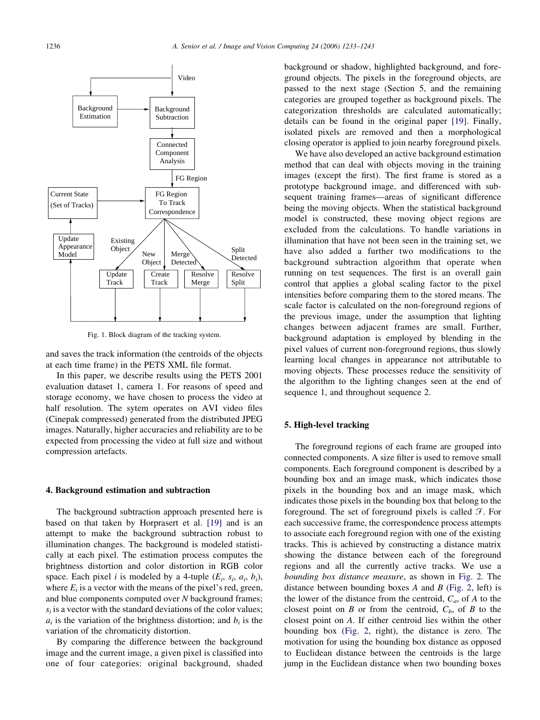<span id="page-3-0"></span>

Fig. 1. Block diagram of the tracking system.

and saves the track information (the centroids of the objects at each time frame) in the PETS XML file format.

In this paper, we describe results using the PETS 2001 evaluation dataset 1, camera 1. For reasons of speed and storage economy, we have chosen to process the video at half resolution. The sytem operates on AVI video files (Cinepak compressed) generated from the distributed JPEG images. Naturally, higher accuracies and reliability are to be expected from processing the video at full size and without compression artefacts.

#### 4. Background estimation and subtraction

The background subtraction approach presented here is based on that taken by Horprasert et al. [\[19\]](#page-10-0) and is an attempt to make the background subtraction robust to illumination changes. The background is modeled statistically at each pixel. The estimation process computes the brightness distortion and color distortion in RGB color space. Each pixel *i* is modeled by a 4-tuple  $(E_i, s_i, a_i, b_i)$ , where  $E_i$  is a vector with the means of the pixel's red, green, and blue components computed over N background frames;  $s_i$  is a vector with the standard deviations of the color values;  $a_i$  is the variation of the brightness distortion; and  $b_i$  is the variation of the chromaticity distortion.

By comparing the difference between the background image and the current image, a given pixel is classified into one of four categories: original background, shaded background or shadow, highlighted background, and foreground objects. The pixels in the foreground objects, are passed to the next stage (Section 5, and the remaining categories are grouped together as background pixels. The categorization thresholds are calculated automatically; details can be found in the original paper [\[19\].](#page-10-0) Finally, isolated pixels are removed and then a morphological closing operator is applied to join nearby foreground pixels.

We have also developed an active background estimation method that can deal with objects moving in the training images (except the first). The first frame is stored as a prototype background image, and differenced with subsequent training frames—areas of significant difference being the moving objects. When the statistical background model is constructed, these moving object regions are excluded from the calculations. To handle variations in illumination that have not been seen in the training set, we have also added a further two modifications to the background subtraction algorithm that operate when running on test sequences. The first is an overall gain control that applies a global scaling factor to the pixel intensities before comparing them to the stored means. The scale factor is calculated on the non-foreground regions of the previous image, under the assumption that lighting changes between adjacent frames are small. Further, background adaptation is employed by blending in the pixel values of current non-foreground regions, thus slowly learning local changes in appearance not attributable to moving objects. These processes reduce the sensitivity of the algorithm to the lighting changes seen at the end of sequence 1, and throughout sequence 2.

# 5. High-level tracking

The foreground regions of each frame are grouped into connected components. A size filter is used to remove small components. Each foreground component is described by a bounding box and an image mask, which indicates those pixels in the bounding box and an image mask, which indicates those pixels in the bounding box that belong to the foreground. The set of foreground pixels is called  $\mathcal{F}$ . For each successive frame, the correspondence process attempts to associate each foreground region with one of the existing tracks. This is achieved by constructing a distance matrix showing the distance between each of the foreground regions and all the currently active tracks. We use a bounding box distance measure, as shown in [Fig. 2.](#page-4-0) The distance between bounding boxes  $A$  and  $B$  ([Fig. 2,](#page-4-0) left) is the lower of the distance from the centroid,  $C_a$ , of A to the closest point on B or from the centroid,  $C_b$ , of B to the closest point on A. If either centroid lies within the other bounding box [\(Fig. 2](#page-4-0), right), the distance is zero. The motivation for using the bounding box distance as opposed to Euclidean distance between the centroids is the large jump in the Euclidean distance when two bounding boxes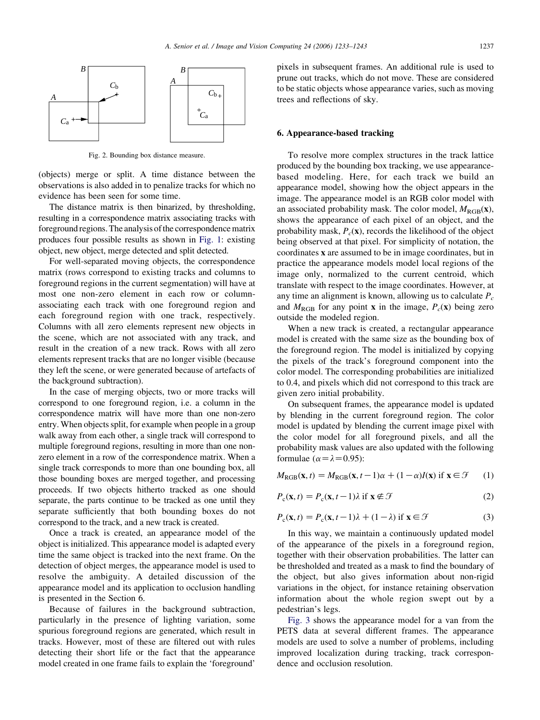<span id="page-4-0"></span>

Fig. 2. Bounding box distance measure.

(objects) merge or split. A time distance between the observations is also added in to penalize tracks for which no evidence has been seen for some time.

The distance matrix is then binarized, by thresholding, resulting in a correspondence matrix associating tracks with foreground regions. The analysis of the correspondence matrix produces four possible results as shown in [Fig. 1](#page-3-0): existing object, new object, merge detected and split detected.

For well-separated moving objects, the correspondence matrix (rows correspond to existing tracks and columns to foreground regions in the current segmentation) will have at most one non-zero element in each row or columnassociating each track with one foreground region and each foreground region with one track, respectively. Columns with all zero elements represent new objects in the scene, which are not associated with any track, and result in the creation of a new track. Rows with all zero elements represent tracks that are no longer visible (because they left the scene, or were generated because of artefacts of the background subtraction).

In the case of merging objects, two or more tracks will correspond to one foreground region, i.e. a column in the correspondence matrix will have more than one non-zero entry. When objects split, for example when people in a group walk away from each other, a single track will correspond to multiple foreground regions, resulting in more than one nonzero element in a row of the correspondence matrix. When a single track corresponds to more than one bounding box, all those bounding boxes are merged together, and processing proceeds. If two objects hitherto tracked as one should separate, the parts continue to be tracked as one until they separate sufficiently that both bounding boxes do not correspond to the track, and a new track is created.

Once a track is created, an appearance model of the object is initialized. This appearance model is adapted every time the same object is tracked into the next frame. On the detection of object merges, the appearance model is used to resolve the ambiguity. A detailed discussion of the appearance model and its application to occlusion handling is presented in the Section 6.

Because of failures in the background subtraction, particularly in the presence of lighting variation, some spurious foreground regions are generated, which result in tracks. However, most of these are filtered out with rules detecting their short life or the fact that the appearance model created in one frame fails to explain the 'foreground'

pixels in subsequent frames. An additional rule is used to prune out tracks, which do not move. These are considered to be static objects whose appearance varies, such as moving trees and reflections of sky.

#### 6. Appearance-based tracking

To resolve more complex structures in the track lattice produced by the bounding box tracking, we use appearancebased modeling. Here, for each track we build an appearance model, showing how the object appears in the image. The appearance model is an RGB color model with an associated probability mask. The color model,  $M_{\text{RGB}}(x)$ , shows the appearance of each pixel of an object, and the probability mask,  $P_c(\mathbf{x})$ , records the likelihood of the object being observed at that pixel. For simplicity of notation, the coordinates x are assumed to be in image coordinates, but in practice the appearance models model local regions of the image only, normalized to the current centroid, which translate with respect to the image coordinates. However, at any time an alignment is known, allowing us to calculate  $P_c$ and  $M_{\text{RGB}}$  for any point **x** in the image,  $P_c(\mathbf{x})$  being zero outside the modeled region.

When a new track is created, a rectangular appearance model is created with the same size as the bounding box of the foreground region. The model is initialized by copying the pixels of the track's foreground component into the color model. The corresponding probabilities are initialized to 0.4, and pixels which did not correspond to this track are given zero initial probability.

On subsequent frames, the appearance model is updated by blending in the current foreground region. The color model is updated by blending the current image pixel with the color model for all foreground pixels, and all the probability mask values are also updated with the following formulae ( $\alpha = \lambda = 0.95$ ):

$$
M_{\text{RGB}}(\mathbf{x}, t) = M_{\text{RGB}}(\mathbf{x}, t - 1)\alpha + (1 - \alpha)I(\mathbf{x}) \text{ if } \mathbf{x} \in \mathcal{F} \qquad (1)
$$

$$
P_{c}(\mathbf{x},t) = P_{c}(\mathbf{x},t-1)\lambda \text{ if } \mathbf{x} \notin \mathcal{F}
$$
 (2)

$$
P_{c}(\mathbf{x},t) = P_{c}(\mathbf{x},t-1)\lambda + (1-\lambda) \text{ if } \mathbf{x} \in \mathcal{F}
$$
 (3)

In this way, we maintain a continuously updated model of the appearance of the pixels in a foreground region, together with their observation probabilities. The latter can be thresholded and treated as a mask to find the boundary of the object, but also gives information about non-rigid variations in the object, for instance retaining observation information about the whole region swept out by a pedestrian's legs.

[Fig. 3](#page-5-0) shows the appearance model for a van from the PETS data at several different frames. The appearance models are used to solve a number of problems, including improved localization during tracking, track correspondence and occlusion resolution.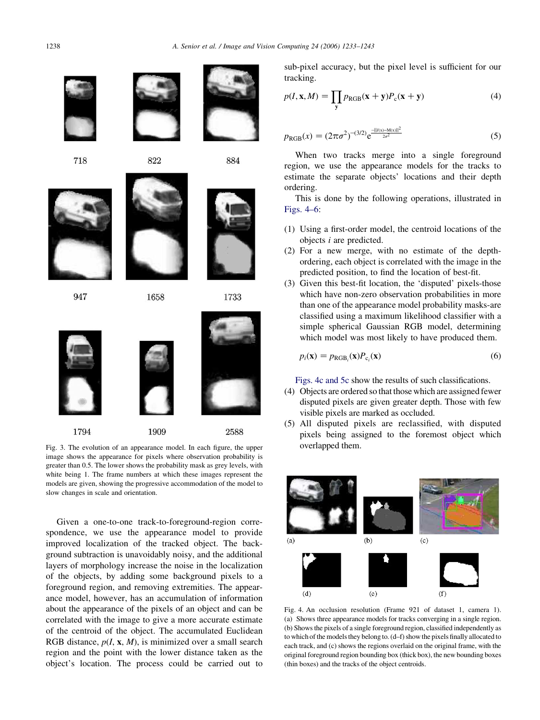<span id="page-5-0"></span>1238 A. Senior et al. / Image and Vision Computing 24 (2006) 1233–1243





718



947



822

1658



1733

884

1794 1909 2588

Fig. 3. The evolution of an appearance model. In each figure, the upper overlapped them. image shows the appearance for pixels where observation probability is greater than 0.5. The lower shows the probability mask as grey levels, with white being 1. The frame numbers at which these images represent the models are given, showing the progressive accommodation of the model to slow changes in scale and orientation.

Given a one-to-one track-to-foreground-region correspondence, we use the appearance model to provide improved localization of the tracked object. The background subtraction is unavoidably noisy, and the additional layers of morphology increase the noise in the localization of the objects, by adding some background pixels to a foreground region, and removing extremities. The appearance model, however, has an accumulation of information about the appearance of the pixels of an object and can be correlated with the image to give a more accurate estimate of the centroid of the object. The accumulated Euclidean RGB distance,  $p(I, x, M)$ , is minimized over a small search region and the point with the lower distance taken as the object's location. The process could be carried out to

sub-pixel accuracy, but the pixel level is sufficient for our tracking.

$$
p(I, \mathbf{x}, M) = \prod_{\mathbf{y}} p_{\text{RGB}}(\mathbf{x} + \mathbf{y}) P_{\text{c}}(\mathbf{x} + \mathbf{y})
$$
(4)

$$
p_{\text{RGB}}(x) = (2\pi\sigma^2)^{-(3/2)} e^{\frac{-||f(x) - M(x)||^2}{2\sigma^2}}
$$
(5)

When two tracks merge into a single foreground region, we use the appearance models for the tracks to estimate the separate objects' locations and their depth ordering.

This is done by the following operations, illustrated in Figs. 4–6:

- (1) Using a first-order model, the centroid locations of the objects i are predicted.
- (2) For a new merge, with no estimate of the depthordering, each object is correlated with the image in the predicted position, to find the location of best-fit.
- (3) Given this best-fit location, the 'disputed' pixels-those which have non-zero observation probabilities in more than one of the appearance model probability masks-are classified using a maximum likelihood classifier with a simple spherical Gaussian RGB model, determining which model was most likely to have produced them.

$$
p_i(\mathbf{x}) = p_{\text{RGB}_i}(\mathbf{x}) P_{c_i}(\mathbf{x})
$$
\n(6)

Figs. 4c and 5c show the results of such classifications.

- (4) Objects are ordered so that those which are assigned fewer disputed pixels are given greater depth. Those with few visible pixels are marked as occluded.
- (5) All disputed pixels are reclassified, with disputed pixels being assigned to the foremost object which



Fig. 4. An occlusion resolution (Frame 921 of dataset 1, camera 1). (a) Shows three appearance models for tracks converging in a single region. (b) Shows the pixels of a single foreground region, classified independently as to which of the models they belong to. (d–f) show the pixels finally allocated to each track, and (c) shows the regions overlaid on the original frame, with the original foreground region bounding box (thick box), the new bounding boxes (thin boxes) and the tracks of the object centroids.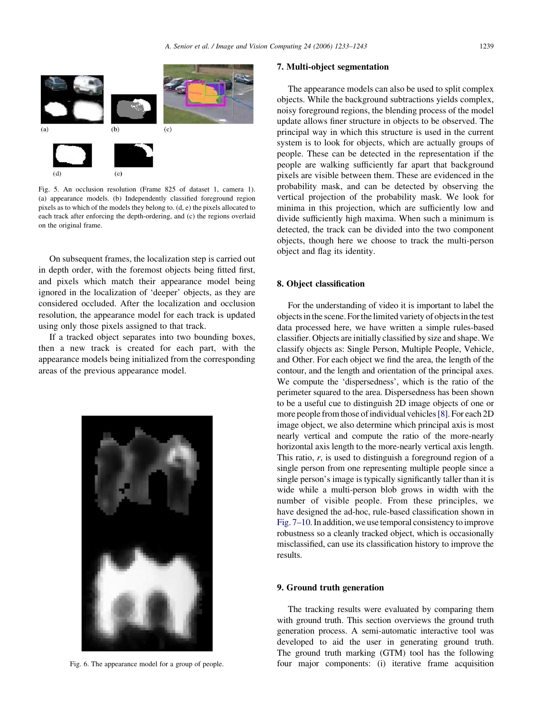

Fig. 5. An occlusion resolution (Frame 825 of dataset 1, camera 1). (a) appearance models. (b) Independently classified foreground region pixels as to which of the models they belong to. (d, e) the pixels allocated to each track after enforcing the depth-ordering, and (c) the regions overlaid on the original frame.

On subsequent frames, the localization step is carried out in depth order, with the foremost objects being fitted first, and pixels which match their appearance model being ignored in the localization of 'deeper' objects, as they are considered occluded. After the localization and occlusion resolution, the appearance model for each track is updated using only those pixels assigned to that track.

If a tracked object separates into two bounding boxes, then a new track is created for each part, with the appearance models being initialized from the corresponding areas of the previous appearance model.



Fig. 6. The appearance model for a group of people.

# 7. Multi-object segmentation

The appearance models can also be used to split complex objects. While the background subtractions yields complex, noisy foreground regions, the blending process of the model update allows finer structure in objects to be observed. The principal way in which this structure is used in the current system is to look for objects, which are actually groups of people. These can be detected in the representation if the people are walking sufficiently far apart that background pixels are visible between them. These are evidenced in the probability mask, and can be detected by observing the vertical projection of the probability mask. We look for minima in this projection, which are sufficiently low and divide sufficiently high maxima. When such a minimum is detected, the track can be divided into the two component objects, though here we choose to track the multi-person object and flag its identity.

# 8. Object classification

For the understanding of video it is important to label the objectsinthe scene. Forthe limited variety of objects in the test data processed here, we have written a simple rules-based classifier. Objects are initially classified by size and shape. We classify objects as: Single Person, Multiple People, Vehicle, and Other. For each object we find the area, the length of the contour, and the length and orientation of the principal axes. We compute the 'dispersedness', which is the ratio of the perimeter squared to the area. Dispersedness has been shown to be a useful cue to distinguish 2D image objects of one or more people from those of individual vehicles[\[8\].](#page-9-0) For each 2D image object, we also determine which principal axis is most nearly vertical and compute the ratio of the more-nearly horizontal axis length to the more-nearly vertical axis length. This ratio,  $r$ , is used to distinguish a foreground region of a single person from one representing multiple people since a single person's image is typically significantly taller than it is wide while a multi-person blob grows in width with the number of visible people. From these principles, we have designed the ad-hoc, rule-based classification shown in [Fig. 7–10](#page-7-0). In addition, we use temporal consistency to improve robustness so a cleanly tracked object, which is occasionally misclassified, can use its classification history to improve the results.

#### 9. Ground truth generation

The tracking results were evaluated by comparing them with ground truth. This section overviews the ground truth generation process. A semi-automatic interactive tool was developed to aid the user in generating ground truth. The ground truth marking (GTM) tool has the following four major components: (i) iterative frame acquisition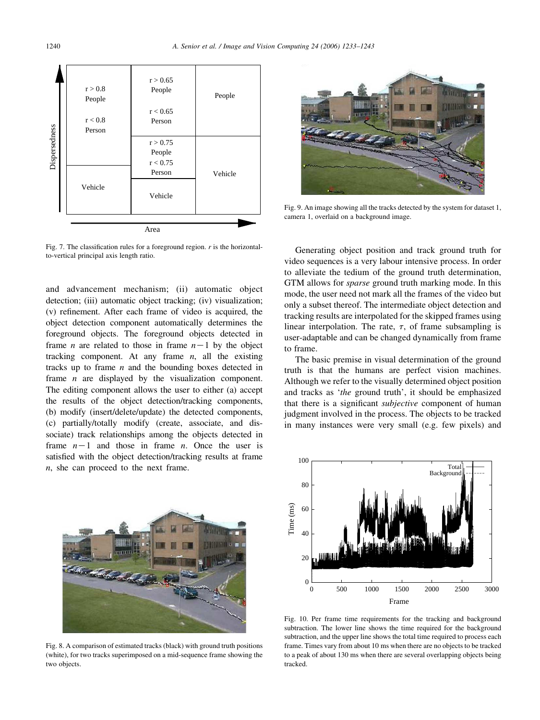<span id="page-7-0"></span>

Fig. 7. The classification rules for a foreground region.  $r$  is the horizontalto-vertical principal axis length ratio.

and advancement mechanism; (ii) automatic object detection; (iii) automatic object tracking; (iv) visualization; (v) refinement. After each frame of video is acquired, the object detection component automatically determines the foreground objects. The foreground objects detected in frame *n* are related to those in frame  $n-1$  by the object tracking component. At any frame  $n$ , all the existing tracks up to frame  $n$  and the bounding boxes detected in frame  $n$  are displayed by the visualization component. The editing component allows the user to either (a) accept the results of the object detection/tracking components, (b) modify (insert/delete/update) the detected components, (c) partially/totally modify (create, associate, and dissociate) track relationships among the objects detected in frame  $n-1$  and those in frame n. Once the user is satisfied with the object detection/tracking results at frame n, she can proceed to the next frame.



Fig. 8. A comparison of estimated tracks (black) with ground truth positions (white), for two tracks superimposed on a mid-sequence frame showing the two objects.



Fig. 9. An image showing all the tracks detected by the system for dataset 1, camera 1, overlaid on a background image.

Generating object position and track ground truth for video sequences is a very labour intensive process. In order to alleviate the tedium of the ground truth determination, GTM allows for sparse ground truth marking mode. In this mode, the user need not mark all the frames of the video but only a subset thereof. The intermediate object detection and tracking results are interpolated for the skipped frames using linear interpolation. The rate,  $\tau$ , of frame subsampling is user-adaptable and can be changed dynamically from frame to frame.

The basic premise in visual determination of the ground truth is that the humans are perfect vision machines. Although we refer to the visually determined object position and tracks as 'the ground truth', it should be emphasized that there is a significant *subjective* component of human judgment involved in the process. The objects to be tracked in many instances were very small (e.g. few pixels) and



Fig. 10. Per frame time requirements for the tracking and background subtraction. The lower line shows the time required for the background subtraction, and the upper line shows the total time required to process each frame. Times vary from about 10 ms when there are no objects to be tracked to a peak of about 130 ms when there are several overlapping objects being tracked.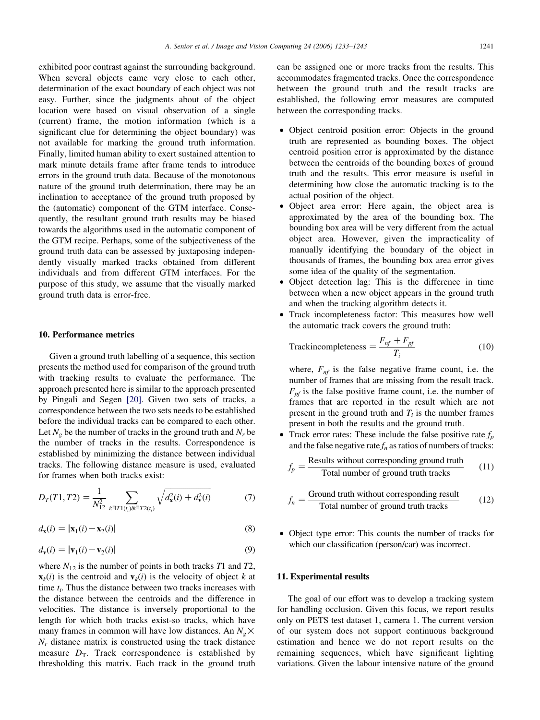exhibited poor contrast against the surrounding background. When several objects came very close to each other, determination of the exact boundary of each object was not easy. Further, since the judgments about of the object location were based on visual observation of a single (current) frame, the motion information (which is a significant clue for determining the object boundary) was not available for marking the ground truth information. Finally, limited human ability to exert sustained attention to mark minute details frame after frame tends to introduce errors in the ground truth data. Because of the monotonous nature of the ground truth determination, there may be an inclination to acceptance of the ground truth proposed by the (automatic) component of the GTM interface. Consequently, the resultant ground truth results may be biased towards the algorithms used in the automatic component of the GTM recipe. Perhaps, some of the subjectiveness of the ground truth data can be assessed by juxtaposing independently visually marked tracks obtained from different individuals and from different GTM interfaces. For the purpose of this study, we assume that the visually marked ground truth data is error-free.

# 10. Performance metrics

Given a ground truth labelling of a sequence, this section presents the method used for comparison of the ground truth with tracking results to evaluate the performance. The approach presented here is similar to the approach presented by Pingali and Segen [\[20\]](#page-10-0). Given two sets of tracks, a correspondence between the two sets needs to be established before the individual tracks can be compared to each other. Let  $N_e$  be the number of tracks in the ground truth and  $N_r$  be the number of tracks in the results. Correspondence is established by minimizing the distance between individual tracks. The following distance measure is used, evaluated for frames when both tracks exist:

$$
D_T(T1, T2) = \frac{1}{N_{12}^2} \sum_{i: \exists T1(t_i) \& \exists T2(t_i)} \sqrt{d_{\mathbf{x}}^2(i) + d_{\mathbf{v}}^2(i)} \tag{7}
$$

$$
d_{\mathbf{x}}(i) = |\mathbf{x}_1(i) - \mathbf{x}_2(i)| \tag{8}
$$

$$
d_{\mathbf{v}}(i) = |\mathbf{v}_1(i) - \mathbf{v}_2(i)| \tag{9}
$$

where  $N_{12}$  is the number of points in both tracks T1 and T2,  $\mathbf{x}_k(i)$  is the centroid and  $\mathbf{v}_k(i)$  is the velocity of object k at time  $t_i$ . Thus the distance between two tracks increases with the distance between the centroids and the difference in velocities. The distance is inversely proportional to the length for which both tracks exist-so tracks, which have many frames in common will have low distances. An  $N_e \times$  $N_r$  distance matrix is constructed using the track distance measure  $D_T$ . Track correspondence is established by thresholding this matrix. Each track in the ground truth

can be assigned one or more tracks from the results. This accommodates fragmented tracks. Once the correspondence between the ground truth and the result tracks are established, the following error measures are computed between the corresponding tracks.

- Object centroid position error: Objects in the ground truth are represented as bounding boxes. The object centroid position error is approximated by the distance between the centroids of the bounding boxes of ground truth and the results. This error measure is useful in determining how close the automatic tracking is to the actual position of the object.
- † Object area error: Here again, the object area is approximated by the area of the bounding box. The bounding box area will be very different from the actual object area. However, given the impracticality of manually identifying the boundary of the object in thousands of frames, the bounding box area error gives some idea of the quality of the segmentation.
- † Object detection lag: This is the difference in time between when a new object appears in the ground truth and when the tracking algorithm detects it.
- Track incompleteness factor: This measures how well the automatic track covers the ground truth:

$$
Trackincompleteness = \frac{F_{nf} + F_{pf}}{T_i}
$$
 (10)

where,  $F_{nf}$  is the false negative frame count, i.e. the number of frames that are missing from the result track.  $F_{pf}$  is the false positive frame count, i.e. the number of frames that are reported in the result which are not present in the ground truth and  $T_i$  is the number frames present in both the results and the ground truth.

• Track error rates: These include the false positive rate  $f<sub>p</sub>$ and the false negative rate  $f_n$  as ratios of numbers of tracks:

$$
f_p = \frac{\text{Results without corresponding ground truth}}{\text{Total number of ground truth tracks}} \tag{11}
$$

$$
f_n = \frac{\text{Ground truth without corresponding result}}{\text{Total number of ground truth tracks}} \tag{12}
$$

† Object type error: This counts the number of tracks for which our classification (person/car) was incorrect.

# 11. Experimental results

The goal of our effort was to develop a tracking system for handling occlusion. Given this focus, we report results only on PETS test dataset 1, camera 1. The current version of our system does not support continuous background estimation and hence we do not report results on the remaining sequences, which have significant lighting variations. Given the labour intensive nature of the ground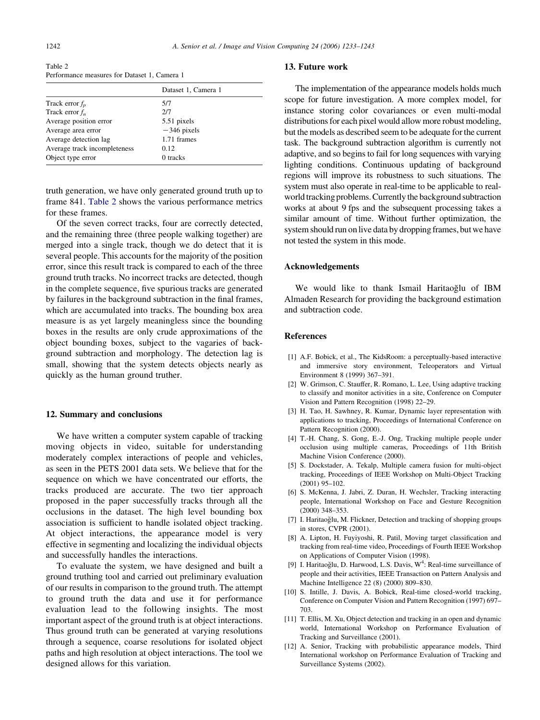<span id="page-9-0"></span>

| Table 2                                      |  |  |  |
|----------------------------------------------|--|--|--|
| Performance measures for Dataset 1, Camera 1 |  |  |  |

|                              | Dataset 1, Camera 1 |
|------------------------------|---------------------|
| Track error $f_p$            | 5/7                 |
| Track error $f_n$            | 2/7                 |
| Average position error       | 5.51 pixels         |
| Average area error           | $-346$ pixels       |
| Average detection lag        | 1.71 frames         |
| Average track incompleteness | 0.12                |
| Object type error            | 0 tracks            |

truth generation, we have only generated ground truth up to frame 841. Table 2 shows the various performance metrics for these frames.

Of the seven correct tracks, four are correctly detected, and the remaining three (three people walking together) are merged into a single track, though we do detect that it is several people. This accounts for the majority of the position error, since this result track is compared to each of the three ground truth tracks. No incorrect tracks are detected, though in the complete sequence, five spurious tracks are generated by failures in the background subtraction in the final frames, which are accumulated into tracks. The bounding box area measure is as yet largely meaningless since the bounding boxes in the results are only crude approximations of the object bounding boxes, subject to the vagaries of background subtraction and morphology. The detection lag is small, showing that the system detects objects nearly as quickly as the human ground truther.

# 12. Summary and conclusions

We have written a computer system capable of tracking moving objects in video, suitable for understanding moderately complex interactions of people and vehicles, as seen in the PETS 2001 data sets. We believe that for the sequence on which we have concentrated our efforts, the tracks produced are accurate. The two tier approach proposed in the paper successfully tracks through all the occlusions in the dataset. The high level bounding box association is sufficient to handle isolated object tracking. At object interactions, the appearance model is very effective in segmenting and localizing the individual objects and successfully handles the interactions.

To evaluate the system, we have designed and built a ground truthing tool and carried out preliminary evaluation of our results in comparison to the ground truth. The attempt to ground truth the data and use it for performance evaluation lead to the following insights. The most important aspect of the ground truth is at object interactions. Thus ground truth can be generated at varying resolutions through a sequence, coarse resolutions for isolated object paths and high resolution at object interactions. The tool we designed allows for this variation.

# 13. Future work

The implementation of the appearance models holds much scope for future investigation. A more complex model, for instance storing color covariances or even multi-modal distributions for each pixel would allow more robust modeling, but the models as described seem to be adequate for the current task. The background subtraction algorithm is currently not adaptive, and so begins to fail for long sequences with varying lighting conditions. Continuous updating of background regions will improve its robustness to such situations. The system must also operate in real-time to be applicable to realworld tracking problems. Currently the background subtraction works at about 9 fps and the subsequent processing takes a similar amount of time. Without further optimization, the system should run on live data by dropping frames, but we have not tested the system in this mode.

# Acknowledgements

We would like to thank Ismail Haritaoğlu of IBM Almaden Research for providing the background estimation and subtraction code.

# References

- [1] A.F. Bobick, et al., The KidsRoom: a perceptually-based interactive and immersive story environment, Teleoperators and Virtual Environment 8 (1999) 367–391.
- [2] W. Grimson, C. Stauffer, R. Romano, L. Lee, Using adaptive tracking to classify and monitor activities in a site, Conference on Computer Vision and Pattern Recognition (1998) 22–29.
- [3] H. Tao, H. Sawhney, R. Kumar, Dynamic layer representation with applications to tracking, Proceedings of International Conference on Pattern Recognition (2000).
- [4] T.-H. Chang, S. Gong, E.-J. Ong, Tracking multiple people under occlusion using multiple cameras, Proceedings of 11th British Machine Vision Conference (2000).
- [5] S. Dockstader, A. Tekalp, Multiple camera fusion for multi-object tracking, Proceedings of IEEE Workshop on Multi-Object Tracking (2001) 95–102.
- [6] S. McKenna, J. Jabri, Z. Duran, H. Wechsler, Tracking interacting people, International Workshop on Face and Gesture Recognition (2000) 348–353.
- [7] I. Haritaoğlu, M. Flickner, Detection and tracking of shopping groups in stores, CVPR (2001).
- [8] A. Lipton, H. Fuyiyoshi, R. Patil, Moving target classification and tracking from real-time video, Proceedings of Fourth IEEE Workshop on Applications of Computer Vision (1998).
- [9] I. Haritaoğlu, D. Harwood, L.S. Davis, W<sup>4</sup>: Real-time surveillance of people and their activities, IEEE Transaction on Pattern Analysis and Machine Intelligence 22 (8) (2000) 809–830.
- [10] S. Intille, J. Davis, A. Bobick, Real-time closed-world tracking, Conference on Computer Vision and Pattern Recognition (1997) 697– 703.
- [11] T. Ellis, M. Xu, Object detection and tracking in an open and dynamic world, International Workshop on Performance Evaluation of Tracking and Surveillance (2001).
- [12] A. Senior, Tracking with probabilistic appearance models, Third International workshop on Performance Evaluation of Tracking and Surveillance Systems (2002).